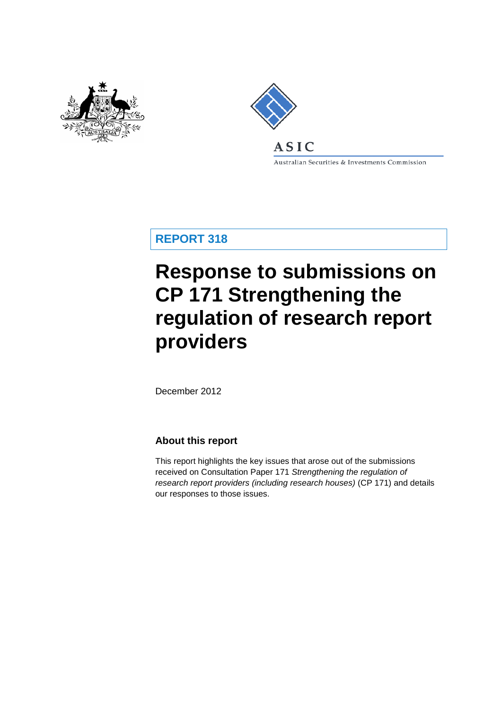



Australian Securities & Investments Commission

**REPORT 318**

# **Response to submissions on CP 171 Strengthening the regulation of research report providers**

December 2012

### **About this report**

This report highlights the key issues that arose out of the submissions received on Consultation Paper 171 *Strengthening the regulation of research report providers (including research houses)* (CP 171) and details our responses to those issues.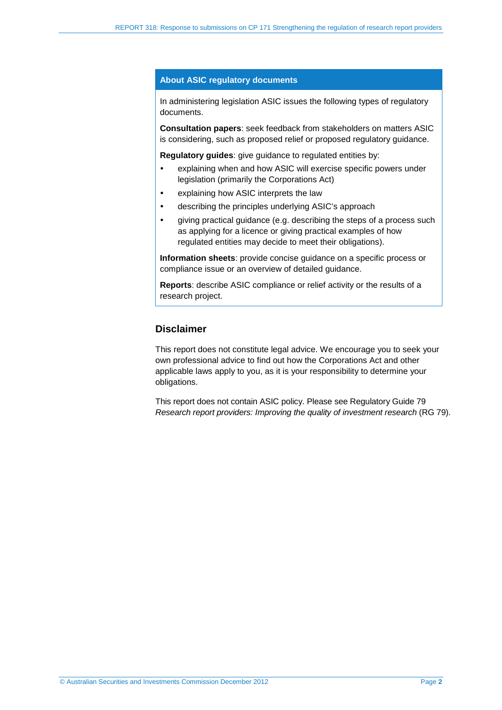#### **About ASIC regulatory documents**

In administering legislation ASIC issues the following types of regulatory documents.

**Consultation papers**: seek feedback from stakeholders on matters ASIC is considering, such as proposed relief or proposed regulatory guidance.

**Regulatory guides**: give guidance to regulated entities by:

- explaining when and how ASIC will exercise specific powers under legislation (primarily the Corporations Act)
- explaining how ASIC interprets the law
- describing the principles underlying ASIC's approach
- giving practical guidance (e.g. describing the steps of a process such as applying for a licence or giving practical examples of how regulated entities may decide to meet their obligations).

**Information sheets**: provide concise guidance on a specific process or compliance issue or an overview of detailed guidance.

**Reports**: describe ASIC compliance or relief activity or the results of a research project.

### **Disclaimer**

This report does not constitute legal advice. We encourage you to seek your own professional advice to find out how the Corporations Act and other applicable laws apply to you, as it is your responsibility to determine your obligations.

This report does not contain ASIC policy. Please see Regulatory Guide 79 *Research report providers: Improving the quality of investment research* (RG 79).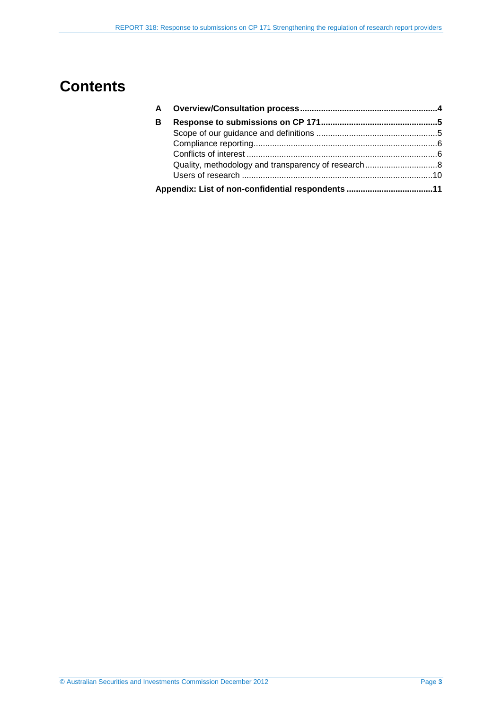## **Contents**

| A |  |
|---|--|
| B |  |
|   |  |
|   |  |
|   |  |
|   |  |
|   |  |
|   |  |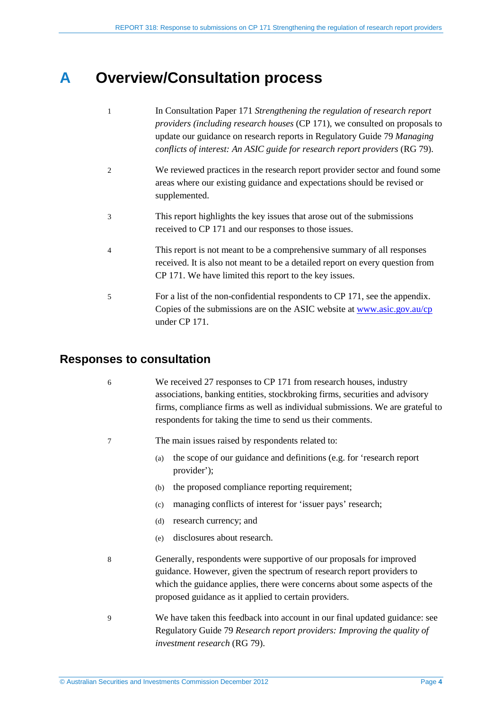## <span id="page-3-0"></span>**A Overview/Consultation process**

| $\overline{1}$ | In Consultation Paper 171 Strengthening the regulation of research report<br>providers (including research houses (CP 171), we consulted on proposals to<br>update our guidance on research reports in Regulatory Guide 79 Managing<br>conflicts of interest: An ASIC guide for research report providers (RG 79). |
|----------------|--------------------------------------------------------------------------------------------------------------------------------------------------------------------------------------------------------------------------------------------------------------------------------------------------------------------|
| 2              | We reviewed practices in the research report provider sector and found some<br>areas where our existing guidance and expectations should be revised or<br>supplemented.                                                                                                                                            |
| 3              | This report highlights the key issues that arose out of the submissions<br>received to CP 171 and our responses to those issues.                                                                                                                                                                                   |
| $\overline{4}$ | This report is not meant to be a comprehensive summary of all responses<br>received. It is also not meant to be a detailed report on every question from<br>CP 171. We have limited this report to the key issues.                                                                                                 |
| 5              | For a list of the non-confidential respondents to CP 171, see the appendix.<br>Copies of the submissions are on the ASIC website at www.asic.gov.au/cp<br>under CP 171.                                                                                                                                            |

## **Responses to consultation**

| 6 | We received 27 responses to CP 171 from research houses, industry<br>associations, banking entities, stockbroking firms, securities and advisory<br>firms, compliance firms as well as individual submissions. We are grateful to<br>respondents for taking the time to send us their comments. |  |  |  |  |
|---|-------------------------------------------------------------------------------------------------------------------------------------------------------------------------------------------------------------------------------------------------------------------------------------------------|--|--|--|--|
| 7 | The main issues raised by respondents related to:                                                                                                                                                                                                                                               |  |  |  |  |
|   | the scope of our guidance and definitions (e.g. for 'research report<br>(a)<br>provider');                                                                                                                                                                                                      |  |  |  |  |
|   | the proposed compliance reporting requirement;<br>(b)                                                                                                                                                                                                                                           |  |  |  |  |
|   | managing conflicts of interest for 'issuer pays' research;<br>(c)                                                                                                                                                                                                                               |  |  |  |  |
|   | research currency; and<br>(d)                                                                                                                                                                                                                                                                   |  |  |  |  |
|   | disclosures about research.<br>(e)                                                                                                                                                                                                                                                              |  |  |  |  |
| 8 | Generally, respondents were supportive of our proposals for improved<br>guidance. However, given the spectrum of research report providers to<br>which the guidance applies, there were concerns about some aspects of the<br>proposed guidance as it applied to certain providers.             |  |  |  |  |
| 9 | We have taken this feedback into account in our final updated guidance: see<br>Regulatory Guide 79 Research report providers: Improving the quality of<br>investment research (RG 79).                                                                                                          |  |  |  |  |
|   |                                                                                                                                                                                                                                                                                                 |  |  |  |  |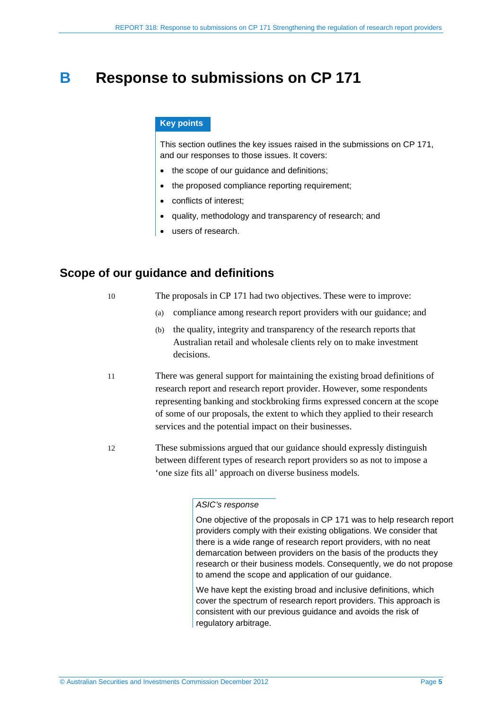## <span id="page-4-0"></span>**B Response to submissions on CP 171**

#### **Key points**

This section outlines the key issues raised in the submissions on CP 171, and our responses to those issues. It covers:

- the scope of our guidance and definitions;
- the proposed compliance reporting requirement;
- conflicts of interest;
- quality, methodology and transparency of research; and
- users of research.

### <span id="page-4-1"></span>**Scope of our guidance and definitions**

| 10 |  | The proposals in CP 171 had two objectives. These were to improve: |  |
|----|--|--------------------------------------------------------------------|--|
|    |  |                                                                    |  |

- (a) compliance among research report providers with our guidance; and
- (b) the quality, integrity and transparency of the research reports that Australian retail and wholesale clients rely on to make investment decisions.
- 11 There was general support for maintaining the existing broad definitions of research report and research report provider. However, some respondents representing banking and stockbroking firms expressed concern at the scope of some of our proposals, the extent to which they applied to their research services and the potential impact on their businesses.
- 12 These submissions argued that our guidance should expressly distinguish between different types of research report providers so as not to impose a 'one size fits all' approach on diverse business models.

#### *ASIC's response*

One objective of the proposals in CP 171 was to help research report providers comply with their existing obligations. We consider that there is a wide range of research report providers, with no neat demarcation between providers on the basis of the products they research or their business models. Consequently, we do not propose to amend the scope and application of our guidance.

We have kept the existing broad and inclusive definitions, which cover the spectrum of research report providers. This approach is consistent with our previous guidance and avoids the risk of regulatory arbitrage.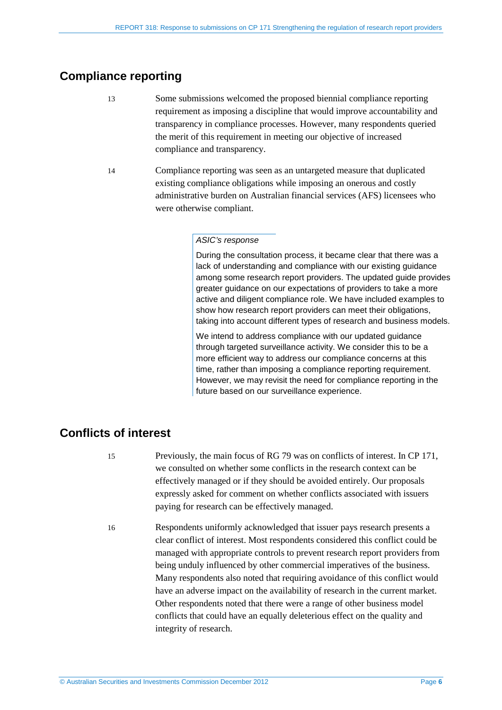## <span id="page-5-0"></span>**Compliance reporting**

- 13 Some submissions welcomed the proposed biennial compliance reporting requirement as imposing a discipline that would improve accountability and transparency in compliance processes. However, many respondents queried the merit of this requirement in meeting our objective of increased compliance and transparency.
- 14 Compliance reporting was seen as an untargeted measure that duplicated existing compliance obligations while imposing an onerous and costly administrative burden on Australian financial services (AFS) licensees who were otherwise compliant.

#### *ASIC's response*

During the consultation process, it became clear that there was a lack of understanding and compliance with our existing guidance among some research report providers. The updated guide provides greater guidance on our expectations of providers to take a more active and diligent compliance role. We have included examples to show how research report providers can meet their obligations, taking into account different types of research and business models.

We intend to address compliance with our updated guidance through targeted surveillance activity. We consider this to be a more efficient way to address our compliance concerns at this time, rather than imposing a compliance reporting requirement. However, we may revisit the need for compliance reporting in the future based on our surveillance experience.

## <span id="page-5-1"></span>**Conflicts of interest**

- 15 Previously, the main focus of RG 79 was on conflicts of interest. In CP 171, we consulted on whether some conflicts in the research context can be effectively managed or if they should be avoided entirely. Our proposals expressly asked for comment on whether conflicts associated with issuers paying for research can be effectively managed.
- 16 Respondents uniformly acknowledged that issuer pays research presents a clear conflict of interest. Most respondents considered this conflict could be managed with appropriate controls to prevent research report providers from being unduly influenced by other commercial imperatives of the business. Many respondents also noted that requiring avoidance of this conflict would have an adverse impact on the availability of research in the current market. Other respondents noted that there were a range of other business model conflicts that could have an equally deleterious effect on the quality and integrity of research.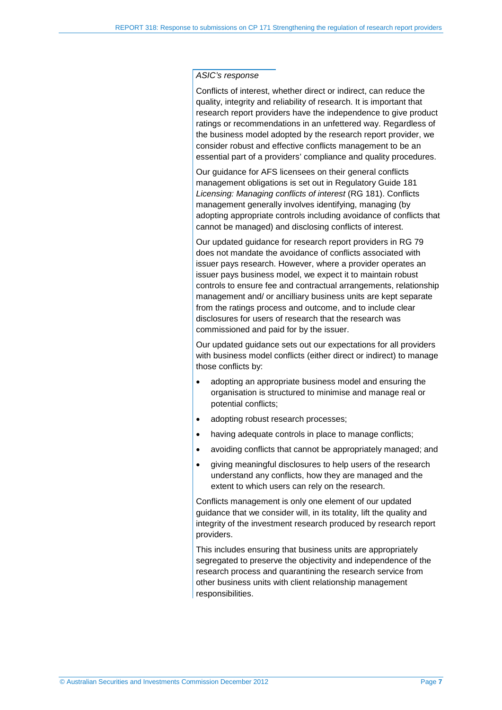#### *ASIC's response*

Conflicts of interest, whether direct or indirect, can reduce the quality, integrity and reliability of research. It is important that research report providers have the independence to give product ratings or recommendations in an unfettered way. Regardless of the business model adopted by the research report provider, we consider robust and effective conflicts management to be an essential part of a providers' compliance and quality procedures.

Our guidance for AFS licensees on their general conflicts management obligations is set out in Regulatory Guide 181 *Licensing: Managing conflicts of interest* (RG 181). Conflicts management generally involves identifying, managing (by adopting appropriate controls including avoidance of conflicts that cannot be managed) and disclosing conflicts of interest.

Our updated guidance for research report providers in RG 79 does not mandate the avoidance of conflicts associated with issuer pays research. However, where a provider operates an issuer pays business model, we expect it to maintain robust controls to ensure fee and contractual arrangements, relationship management and/ or ancilliary business units are kept separate from the ratings process and outcome, and to include clear disclosures for users of research that the research was commissioned and paid for by the issuer.

Our updated guidance sets out our expectations for all providers with business model conflicts (either direct or indirect) to manage those conflicts by:

- adopting an appropriate business model and ensuring the organisation is structured to minimise and manage real or potential conflicts;
- adopting robust research processes;
- having adequate controls in place to manage conflicts;
- avoiding conflicts that cannot be appropriately managed; and
- giving meaningful disclosures to help users of the research understand any conflicts, how they are managed and the extent to which users can rely on the research.

Conflicts management is only one element of our updated guidance that we consider will, in its totality, lift the quality and integrity of the investment research produced by research report providers.

This includes ensuring that business units are appropriately segregated to preserve the objectivity and independence of the research process and quarantining the research service from other business units with client relationship management responsibilities.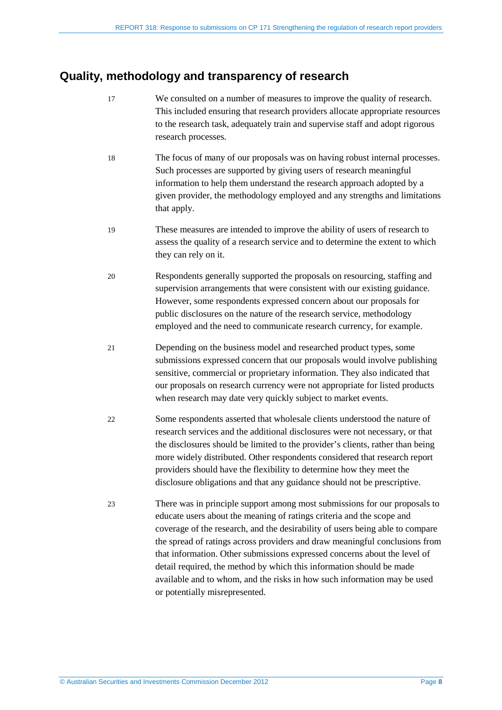## <span id="page-7-0"></span>**Quality, methodology and transparency of research**

- 17 We consulted on a number of measures to improve the quality of research. This included ensuring that research providers allocate appropriate resources to the research task, adequately train and supervise staff and adopt rigorous research processes.
- 18 The focus of many of our proposals was on having robust internal processes. Such processes are supported by giving users of research meaningful information to help them understand the research approach adopted by a given provider, the methodology employed and any strengths and limitations that apply.
- 19 These measures are intended to improve the ability of users of research to assess the quality of a research service and to determine the extent to which they can rely on it.
- 20 Respondents generally supported the proposals on resourcing, staffing and supervision arrangements that were consistent with our existing guidance. However, some respondents expressed concern about our proposals for public disclosures on the nature of the research service, methodology employed and the need to communicate research currency, for example.
- 21 Depending on the business model and researched product types, some submissions expressed concern that our proposals would involve publishing sensitive, commercial or proprietary information. They also indicated that our proposals on research currency were not appropriate for listed products when research may date very quickly subject to market events.
- 22 Some respondents asserted that wholesale clients understood the nature of research services and the additional disclosures were not necessary, or that the disclosures should be limited to the provider's clients, rather than being more widely distributed. Other respondents considered that research report providers should have the flexibility to determine how they meet the disclosure obligations and that any guidance should not be prescriptive.
- 23 There was in principle support among most submissions for our proposals to educate users about the meaning of ratings criteria and the scope and coverage of the research, and the desirability of users being able to compare the spread of ratings across providers and draw meaningful conclusions from that information. Other submissions expressed concerns about the level of detail required, the method by which this information should be made available and to whom, and the risks in how such information may be used or potentially misrepresented.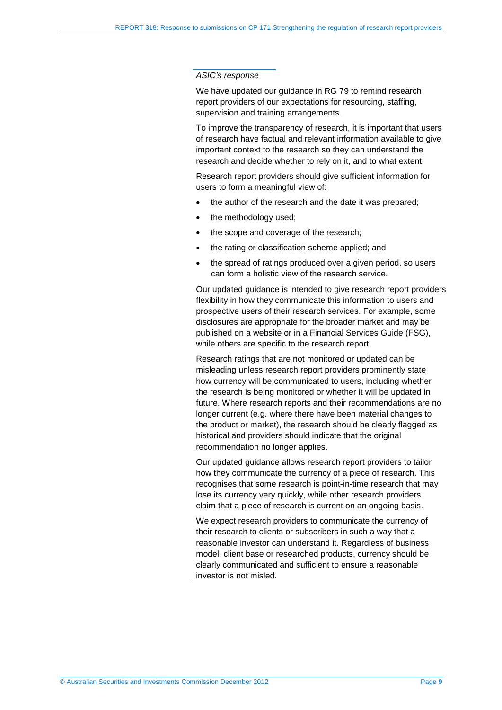#### *ASIC's response*

We have updated our guidance in RG 79 to remind research report providers of our expectations for resourcing, staffing, supervision and training arrangements.

To improve the transparency of research, it is important that users of research have factual and relevant information available to give important context to the research so they can understand the research and decide whether to rely on it, and to what extent.

Research report providers should give sufficient information for users to form a meaningful view of:

- the author of the research and the date it was prepared:
- the methodology used;
- the scope and coverage of the research:
- the rating or classification scheme applied: and
- the spread of ratings produced over a given period, so users can form a holistic view of the research service.

Our updated guidance is intended to give research report providers flexibility in how they communicate this information to users and prospective users of their research services. For example, some disclosures are appropriate for the broader market and may be published on a website or in a Financial Services Guide (FSG), while others are specific to the research report.

Research ratings that are not monitored or updated can be misleading unless research report providers prominently state how currency will be communicated to users, including whether the research is being monitored or whether it will be updated in future. Where research reports and their recommendations are no longer current (e.g. where there have been material changes to the product or market), the research should be clearly flagged as historical and providers should indicate that the original recommendation no longer applies.

Our updated guidance allows research report providers to tailor how they communicate the currency of a piece of research. This recognises that some research is point-in-time research that may lose its currency very quickly, while other research providers claim that a piece of research is current on an ongoing basis.

We expect research providers to communicate the currency of their research to clients or subscribers in such a way that a reasonable investor can understand it. Regardless of business model, client base or researched products, currency should be clearly communicated and sufficient to ensure a reasonable investor is not misled.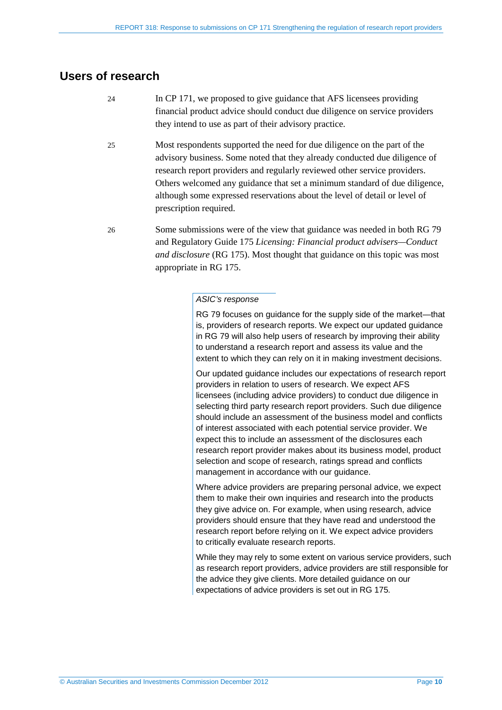### <span id="page-9-0"></span>**Users of research**

- 24 In CP 171, we proposed to give guidance that AFS licensees providing financial product advice should conduct due diligence on service providers they intend to use as part of their advisory practice.
- 25 Most respondents supported the need for due diligence on the part of the advisory business. Some noted that they already conducted due diligence of research report providers and regularly reviewed other service providers. Others welcomed any guidance that set a minimum standard of due diligence, although some expressed reservations about the level of detail or level of prescription required.
- 26 Some submissions were of the view that guidance was needed in both RG 79 and Regulatory Guide 175 *Licensing: Financial product advisers—Conduct and disclosure* (RG 175). Most thought that guidance on this topic was most appropriate in RG 175.

#### *ASIC's response*

RG 79 focuses on guidance for the supply side of the market—that is, providers of research reports. We expect our updated guidance in RG 79 will also help users of research by improving their ability to understand a research report and assess its value and the extent to which they can rely on it in making investment decisions.

Our updated guidance includes our expectations of research report providers in relation to users of research. We expect AFS licensees (including advice providers) to conduct due diligence in selecting third party research report providers. Such due diligence should include an assessment of the business model and conflicts of interest associated with each potential service provider. We expect this to include an assessment of the disclosures each research report provider makes about its business model, product selection and scope of research, ratings spread and conflicts management in accordance with our guidance.

Where advice providers are preparing personal advice, we expect them to make their own inquiries and research into the products they give advice on. For example, when using research, advice providers should ensure that they have read and understood the research report before relying on it. We expect advice providers to critically evaluate research reports.

While they may rely to some extent on various service providers, such as research report providers, advice providers are still responsible for the advice they give clients. More detailed guidance on our expectations of advice providers is set out in RG 175*.*